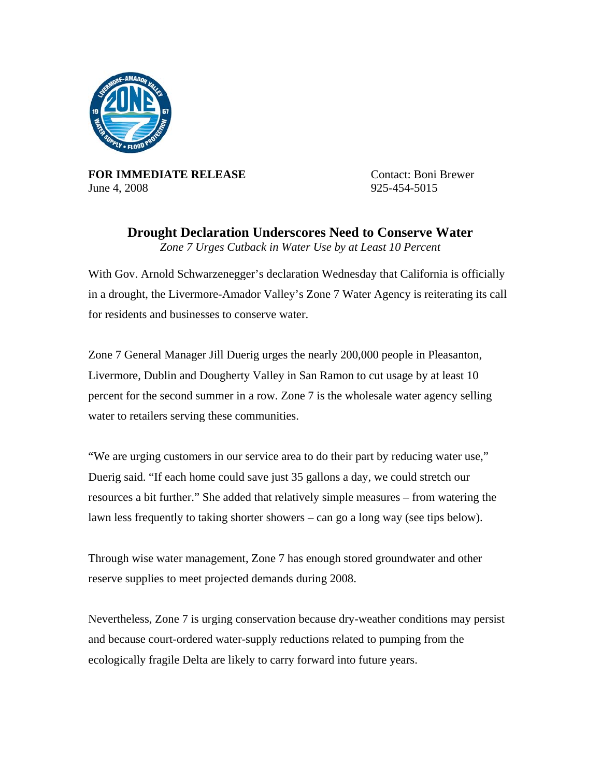

**FOR IMMEDIATE RELEASE** Contact: Boni Brewer June 4, 2008 925-454-5015

**Drought Declaration Underscores Need to Conserve Water**  *Zone 7 Urges Cutback in Water Use by at Least 10 Percent* 

With Gov. Arnold Schwarzenegger's declaration Wednesday that California is officially in a drought, the Livermore-Amador Valley's Zone 7 Water Agency is reiterating its call for residents and businesses to conserve water.

Zone 7 General Manager Jill Duerig urges the nearly 200,000 people in Pleasanton, Livermore, Dublin and Dougherty Valley in San Ramon to cut usage by at least 10 percent for the second summer in a row. Zone 7 is the wholesale water agency selling water to retailers serving these communities.

"We are urging customers in our service area to do their part by reducing water use," Duerig said. "If each home could save just 35 gallons a day, we could stretch our resources a bit further." She added that relatively simple measures – from watering the lawn less frequently to taking shorter showers – can go a long way (see tips below).

Through wise water management, Zone 7 has enough stored groundwater and other reserve supplies to meet projected demands during 2008.

Nevertheless, Zone 7 is urging conservation because dry-weather conditions may persist and because court-ordered water-supply reductions related to pumping from the ecologically fragile Delta are likely to carry forward into future years.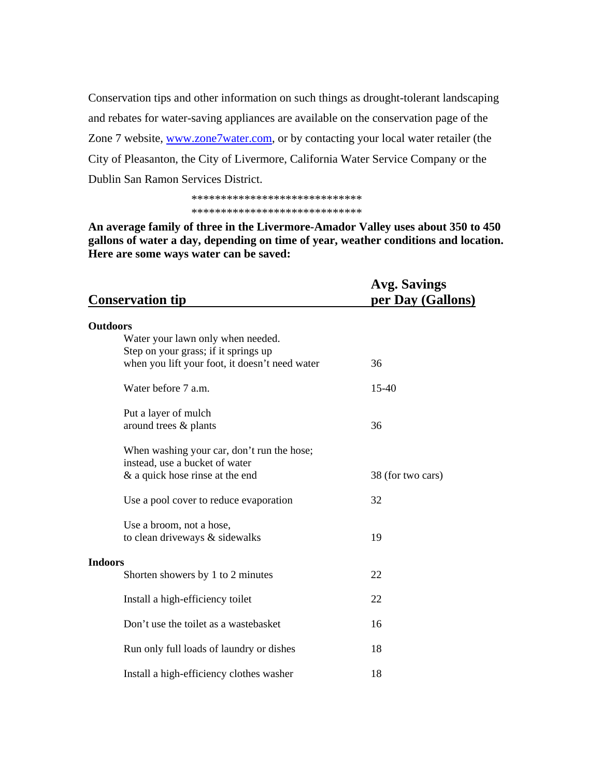Conservation tips and other information on such things as drought-tolerant landscaping and rebates for water-saving appliances are available on the conservation page of the Zone 7 website, [www.zone7water.com](http://www.zone7water.com/), or by contacting your local water retailer (the City of Pleasanton, the City of Livermore, California Water Service Company or the Dublin San Ramon Services District.

## \*\*\*\*\*\*\*\*\*\*\*\*\*\*\*\*\*\*\*\*\*\*\*\*\*\*\*\*\* \*\*\*\*\*\*\*\*\*\*\*\*\*\*\*\*\*\*\*\*\*\*\*\*\*\*\*\*\*

**An average family of three in the Livermore-Amador Valley uses about 350 to 450 gallons of water a day, depending on time of year, weather conditions and location. Here are some ways water can be saved:** 

| <b>Conservation tip</b>                                                                | <b>Avg. Savings</b><br>per Day (Gallons) |
|----------------------------------------------------------------------------------------|------------------------------------------|
| <b>Outdoors</b>                                                                        |                                          |
| Water your lawn only when needed.                                                      |                                          |
| Step on your grass; if it springs up<br>when you lift your foot, it doesn't need water | 36                                       |
|                                                                                        |                                          |
| Water before 7 a.m.                                                                    | $15 - 40$                                |
| Put a layer of mulch                                                                   |                                          |
| around trees & plants                                                                  | 36                                       |
| When washing your car, don't run the hose;                                             |                                          |
| instead, use a bucket of water                                                         |                                          |
| $\&$ a quick hose rinse at the end                                                     | 38 (for two cars)                        |
| Use a pool cover to reduce evaporation                                                 | 32                                       |
| Use a broom, not a hose,                                                               |                                          |
| to clean driveways & sidewalks                                                         | 19                                       |
| <b>Indoors</b>                                                                         |                                          |
| Shorten showers by 1 to 2 minutes                                                      | 22                                       |
| Install a high-efficiency toilet                                                       | 22                                       |
| Don't use the toilet as a wastebasket                                                  | 16                                       |
| Run only full loads of laundry or dishes                                               | 18                                       |
| Install a high-efficiency clothes washer                                               | 18                                       |